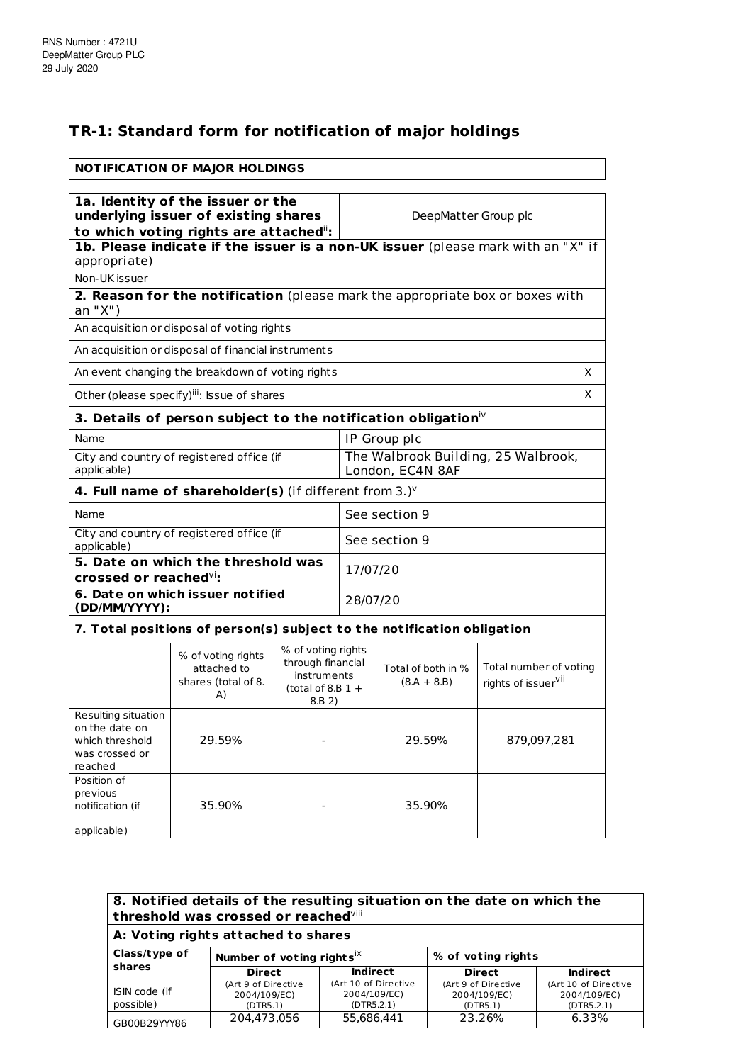## **TR-1: Standard form for notification of major holdings**

|                                                                                                                    | <b>NOTIFICATION OF MAJOR HOLDINGS</b>                                            |                                                                   |                                                         |                                     |                                                           |    |
|--------------------------------------------------------------------------------------------------------------------|----------------------------------------------------------------------------------|-------------------------------------------------------------------|---------------------------------------------------------|-------------------------------------|-----------------------------------------------------------|----|
|                                                                                                                    |                                                                                  |                                                                   |                                                         |                                     |                                                           |    |
| 1a. Identity of the issuer or the<br>underlying issuer of existing shares<br>to which voting rights are attached": |                                                                                  |                                                                   | DeepMatter Group plc                                    |                                     |                                                           |    |
| appropriate)                                                                                                       | 1b. Please indicate if the issuer is a non-UK issuer (please mark with an "X" if |                                                                   |                                                         |                                     |                                                           |    |
| Non-UK issuer                                                                                                      |                                                                                  |                                                                   |                                                         |                                     |                                                           |    |
| an "X")                                                                                                            | 2. Reason for the notification (please mark the appropriate box or boxes with    |                                                                   |                                                         |                                     |                                                           |    |
|                                                                                                                    | An acquisition or disposal of voting rights                                      |                                                                   |                                                         |                                     |                                                           |    |
|                                                                                                                    | An acquisition or disposal of financial instruments                              |                                                                   |                                                         |                                     |                                                           |    |
|                                                                                                                    | An event changing the breakdown of voting rights                                 |                                                                   |                                                         |                                     |                                                           | X  |
|                                                                                                                    | Other (please specify)iii: Issue of shares                                       |                                                                   |                                                         |                                     |                                                           | X. |
|                                                                                                                    | 3. Details of person subject to the notification obligation $\dot{}$             |                                                                   |                                                         |                                     |                                                           |    |
| Name                                                                                                               | IP Group plc                                                                     |                                                                   |                                                         |                                     |                                                           |    |
| City and country of registered office (if<br>applicable)                                                           |                                                                                  |                                                                   | The Walbrook Building, 25 Walbrook,<br>London, EC4N 8AF |                                     |                                                           |    |
|                                                                                                                    | 4. Full name of shareholder(s) (if different from 3.) $V$                        |                                                                   |                                                         |                                     |                                                           |    |
| Name                                                                                                               |                                                                                  |                                                                   |                                                         | See section 9                       |                                                           |    |
| City and country of registered office (if<br>applicable)                                                           |                                                                                  |                                                                   | See section 9                                           |                                     |                                                           |    |
| 5. Date on which the threshold was<br>crossed or reached $\mathrm{Vi}$ :                                           |                                                                                  |                                                                   | 17/07/20                                                |                                     |                                                           |    |
| (DD/MM/YYYY):                                                                                                      | 6. Date on which issuer notified                                                 |                                                                   | 28/07/20                                                |                                     |                                                           |    |
|                                                                                                                    | 7. Total positions of person(s) subject to the notification obligation           |                                                                   |                                                         |                                     |                                                           |    |
|                                                                                                                    |                                                                                  | % of voting rights                                                |                                                         |                                     |                                                           |    |
|                                                                                                                    | % of voting rights<br>attached to<br>shares (total of 8.<br>A)                   | through financial<br>instruments<br>(total of 8.B $1 +$<br>8.B 2) |                                                         | Total of both in %<br>$(8.A + 8.B)$ | Total number of voting<br>rights of issuer <sup>vii</sup> |    |
| Resulting situation<br>on the date on<br>which threshold<br>was crossed or<br>reached                              | 29.59%                                                                           |                                                                   |                                                         | 29.59%                              | 879,097,281                                               |    |
| Position of<br>previous<br>notification (if<br>applicable)                                                         | 35.90%                                                                           |                                                                   |                                                         | 35.90%                              |                                                           |    |

| 8. Notified details of the resulting situation on the date on which the<br>threshold was crossed or reached <sup>viii</sup> |                                                 |                                                    |                                                 |                                                    |  |
|-----------------------------------------------------------------------------------------------------------------------------|-------------------------------------------------|----------------------------------------------------|-------------------------------------------------|----------------------------------------------------|--|
| A: Voting rights attached to shares                                                                                         |                                                 |                                                    |                                                 |                                                    |  |
| Class/type of                                                                                                               |                                                 | Number of voting rights <sup>1X</sup>              |                                                 | % of voting rights                                 |  |
| shares                                                                                                                      | <b>Direct</b>                                   | <b>Indirect</b>                                    | <b>Direct</b>                                   | <b>Indirect</b>                                    |  |
| ISIN code (if<br>possible)                                                                                                  | (Art 9 of Directive<br>2004/109/EC)<br>(DTR5.1) | (Art 10 of Directive<br>2004/109/EC)<br>(DTR5.2.1) | (Art 9 of Directive<br>2004/109/EC)<br>(DTR5.1) | (Art 10 of Directive<br>2004/109/EC)<br>(DTR5.2.1) |  |
| GB00B29YYY86                                                                                                                | 204.473.056                                     | 55.686.441                                         | 23.26%                                          | 6.33%                                              |  |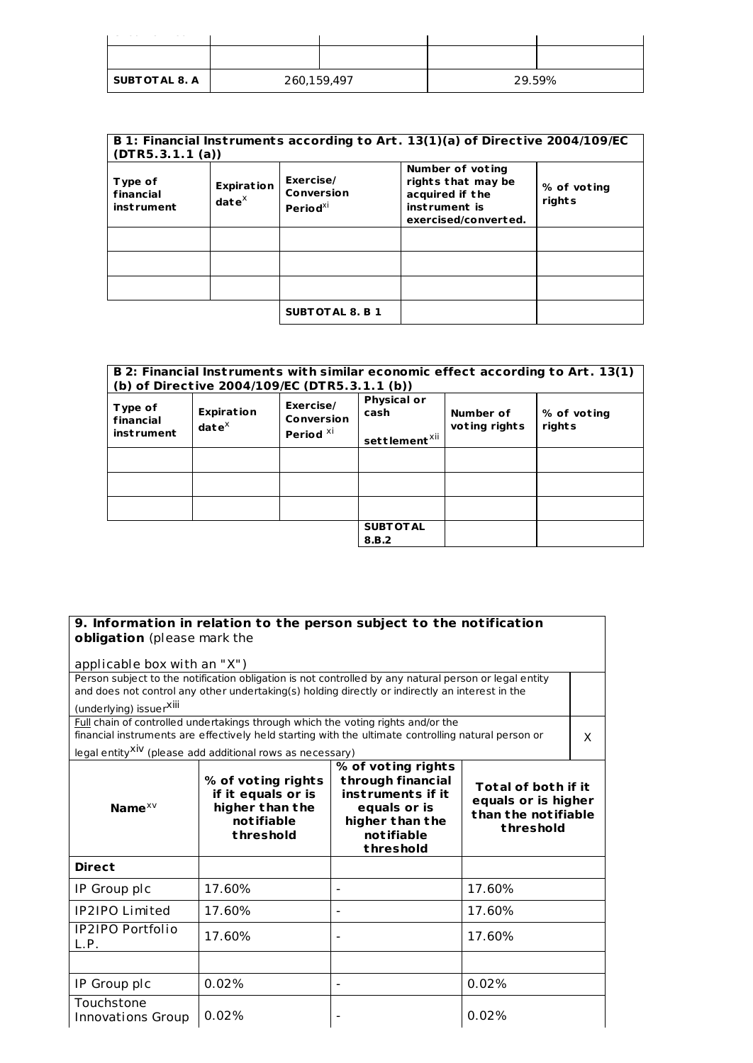| <b>SUBT OT AL 8. A</b> | 260,159,497 |  | 29.59% |  |
|------------------------|-------------|--|--------|--|

| (DTR5.3.1.1(a))                           |                                      |                                                 | B 1: Financial Instruments according to Art. 13(1)(a) of Directive 2004/109/EC                     |                       |
|-------------------------------------------|--------------------------------------|-------------------------------------------------|----------------------------------------------------------------------------------------------------|-----------------------|
| Type of<br>financial<br><i>instrument</i> | <b>Expiration</b><br>$\det e^{\chi}$ | Exercise/<br>Conversion<br>Period <sup>xi</sup> | Number of voting<br>rights that may be<br>acquired if the<br>instrument is<br>exercised/converted. | % of voting<br>rights |
|                                           |                                      |                                                 |                                                                                                    |                       |
|                                           |                                      |                                                 |                                                                                                    |                       |
|                                           |                                      |                                                 |                                                                                                    |                       |
|                                           |                                      | <b>SUBTOTAL 8. B 1</b>                          |                                                                                                    |                       |

|                                           | B 2: Financial Instruments with similar economic effect according to Art. 13(1)<br>(b) of Directive 2004/109/EC (DTR5.3.1.1 (b)) |                                                 |                                                         |                            |                       |
|-------------------------------------------|----------------------------------------------------------------------------------------------------------------------------------|-------------------------------------------------|---------------------------------------------------------|----------------------------|-----------------------|
| Type of<br>financial<br><i>instrument</i> | <b>Expiration</b><br>$\mathbf{date}^\times$                                                                                      | Exercise/<br>Conversion<br>Period <sup>xi</sup> | <b>Physical or</b><br>cash<br>settlement <sup>xii</sup> | Number of<br>voting rights | % of voting<br>rights |
|                                           |                                                                                                                                  |                                                 |                                                         |                            |                       |
|                                           |                                                                                                                                  |                                                 |                                                         |                            |                       |
|                                           |                                                                                                                                  |                                                 |                                                         |                            |                       |
|                                           |                                                                                                                                  |                                                 | <b>SUBT OT AL</b><br>8.B.2                              |                            |                       |

## **9. Information in relation to the person subject to the notification obligation** (please mark the

| applicable box with an "X")                                                                           |                                                                                                     |                                                                                                                            |                                                                                |   |  |
|-------------------------------------------------------------------------------------------------------|-----------------------------------------------------------------------------------------------------|----------------------------------------------------------------------------------------------------------------------------|--------------------------------------------------------------------------------|---|--|
| Person subject to the notification obligation is not controlled by any natural person or legal entity |                                                                                                     |                                                                                                                            |                                                                                |   |  |
|                                                                                                       | and does not control any other undertaking(s) holding directly or indirectly an interest in the     |                                                                                                                            |                                                                                |   |  |
| (underlying) issuerXili                                                                               |                                                                                                     |                                                                                                                            |                                                                                |   |  |
|                                                                                                       | Full chain of controlled undertakings through which the voting rights and/or the                    |                                                                                                                            |                                                                                |   |  |
|                                                                                                       | financial instruments are effectively held starting with the ultimate controlling natural person or |                                                                                                                            |                                                                                | X |  |
|                                                                                                       | legal entity <sup>XiV</sup> (please add additional rows as necessary)                               |                                                                                                                            |                                                                                |   |  |
| Name $x \vee$                                                                                         | % of voting rights<br>if it equals or is<br>higher than the<br>notifiable<br>threshold              | % of voting rights<br>through financial<br>instruments if it<br>equals or is<br>higher than the<br>notifiable<br>threshold | Total of both if it<br>equals or is higher<br>than the notifiable<br>threshold |   |  |
| <b>Direct</b>                                                                                         |                                                                                                     |                                                                                                                            |                                                                                |   |  |
| IP Group plc                                                                                          | 17.60%                                                                                              |                                                                                                                            | 17.60%                                                                         |   |  |
| <b>IP2IPO</b> Limited                                                                                 | 17.60%                                                                                              |                                                                                                                            | 17.60%                                                                         |   |  |
| <b>IP2IPO Portfolio</b><br>L.P.                                                                       | 17.60%                                                                                              |                                                                                                                            | 17.60%                                                                         |   |  |
|                                                                                                       |                                                                                                     |                                                                                                                            |                                                                                |   |  |
| IP Group plc                                                                                          | 0.02%                                                                                               |                                                                                                                            | 0.02%                                                                          |   |  |
| Touchstone<br><b>Innovations Group</b>                                                                | 0.02%                                                                                               |                                                                                                                            | 0.02%                                                                          |   |  |